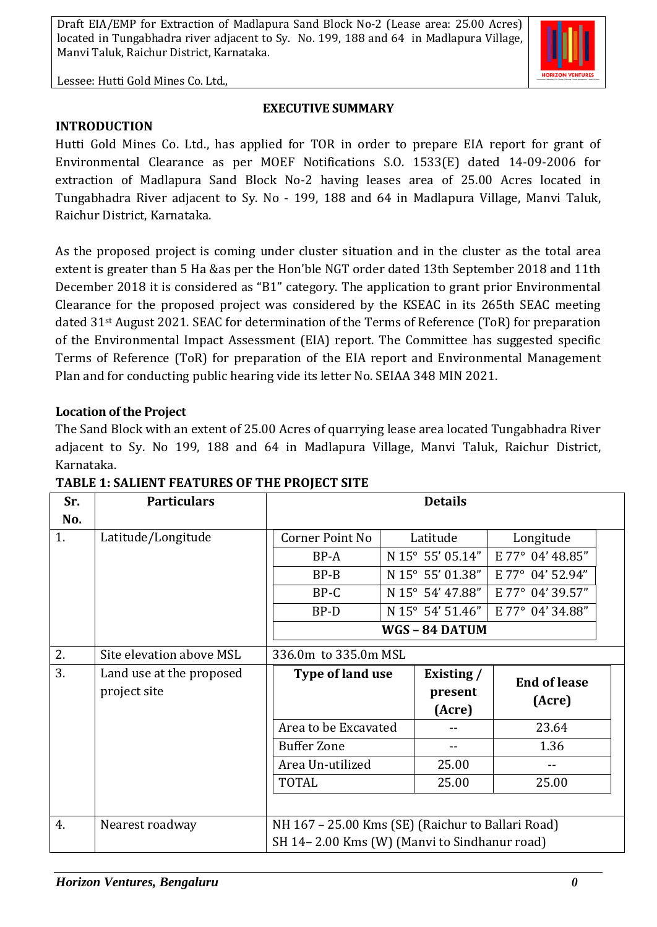

Lessee: Hutti Gold Mines Co. Ltd.,

### **EXECUTIVE SUMMARY**

#### **INTRODUCTION**

Hutti Gold Mines Co. Ltd., has applied for TOR in order to prepare EIA report for grant of Environmental Clearance as per MOEF Notifications S.O. 1533(E) dated 14-09-2006 for extraction of Madlapura Sand Block No-2 having leases area of 25.00 Acres located in Tungabhadra River adjacent to Sy. No - 199, 188 and 64 in Madlapura Village, Manvi Taluk, Raichur District, Karnataka.

As the proposed project is coming under cluster situation and in the cluster as the total area extent is greater than 5 Ha &as per the Hon'ble NGT order dated 13th September 2018 and 11th December 2018 it is considered as "B1" category. The application to grant prior Environmental Clearance for the proposed project was considered by the KSEAC in its 265th SEAC meeting dated 31st August 2021. SEAC for determination of the Terms of Reference (ToR) for preparation of the Environmental Impact Assessment (EIA) report. The Committee has suggested specific Terms of Reference (ToR) for preparation of the EIA report and Environmental Management Plan and for conducting public hearing vide its letter No. SEIAA 348 MIN 2021.

#### **Location of the Project**

The Sand Block with an extent of 25.00 Acres of quarrying lease area located Tungabhadra River adjacent to Sy. No 199, 188 and 64 in Madlapura Village, Manvi Taluk, Raichur District, Karnataka.

| Sr. | <b>Particulars</b>                       | <b>Details</b>                                    |  |                                   |                  |  |
|-----|------------------------------------------|---------------------------------------------------|--|-----------------------------------|------------------|--|
| No. |                                          |                                                   |  |                                   |                  |  |
| 1.  | Latitude/Longitude                       | Corner Point No                                   |  | Latitude                          | Longitude        |  |
|     |                                          | BP-A                                              |  | N 15° 55' 05.14"                  | E 77° 04' 48.85" |  |
|     |                                          | $BP-B$                                            |  | N 15° 55' 01.38"                  | E 77° 04' 52.94" |  |
|     |                                          | BP-C                                              |  | N 15° 54' 47.88"                  | E 77° 04' 39.57" |  |
|     |                                          | BP-D                                              |  | N 15° 54' 51.46"                  | E 77° 04' 34.88" |  |
|     |                                          |                                                   |  | WGS-84 DATUM                      |                  |  |
| 2.  | Site elevation above MSL                 | 336.0m to 335.0m MSL                              |  |                                   |                  |  |
| 3.  | Land use at the proposed<br>project site | Type of land use                                  |  | Existing /<br><b>End of lease</b> |                  |  |
|     |                                          |                                                   |  | present                           | (Acre)           |  |
|     |                                          |                                                   |  | (Acre)                            |                  |  |
|     |                                          | Area to be Excavated                              |  | --                                | 23.64            |  |
|     |                                          | <b>Buffer Zone</b>                                |  | $-$                               | 1.36             |  |
|     |                                          |                                                   |  |                                   |                  |  |
|     |                                          | Area Un-utilized                                  |  | 25.00                             |                  |  |
|     |                                          | <b>TOTAL</b>                                      |  | 25.00                             | 25.00            |  |
|     |                                          |                                                   |  |                                   |                  |  |
| 4.  | Nearest roadway                          | NH 167 - 25.00 Kms (SE) (Raichur to Ballari Road) |  |                                   |                  |  |

**TABLE 1: SALIENT FEATURES OF THE PROJECT SITE**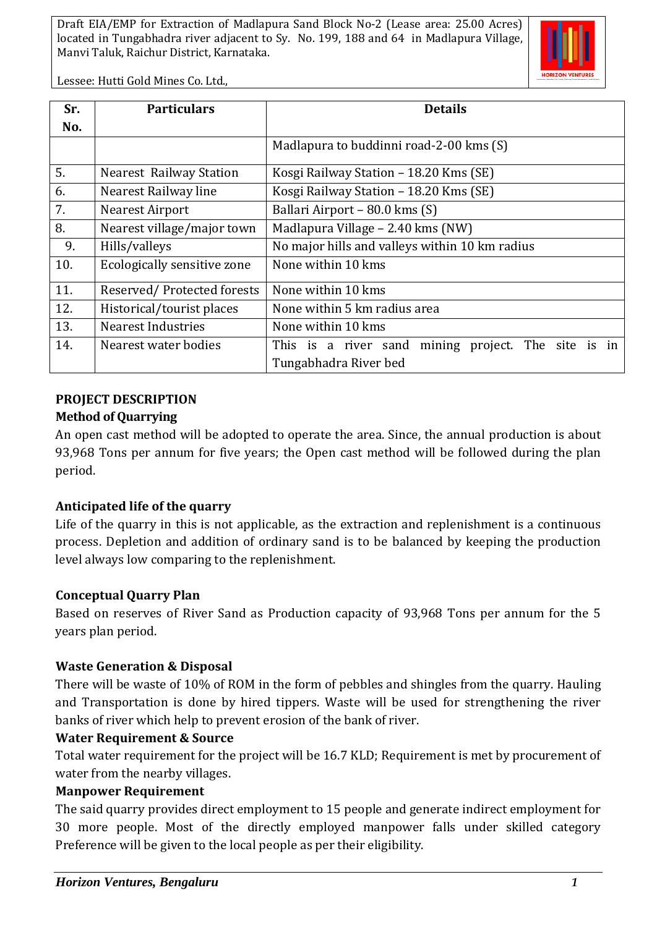

Lessee: Hutti Gold Mines Co. Ltd.,

| Sr. | <b>Particulars</b>             | <b>Details</b>                                      |  |  |  |
|-----|--------------------------------|-----------------------------------------------------|--|--|--|
| No. |                                |                                                     |  |  |  |
|     |                                | Madlapura to buddinni road-2-00 kms (S)             |  |  |  |
| 5.  | <b>Nearest Railway Station</b> | Kosgi Railway Station - 18.20 Kms (SE)              |  |  |  |
| 6.  | Nearest Railway line           | Kosgi Railway Station - 18.20 Kms (SE)              |  |  |  |
| 7.  | Nearest Airport                | Ballari Airport - 80.0 kms (S)                      |  |  |  |
| 8.  | Nearest village/major town     | Madlapura Village - 2.40 kms (NW)                   |  |  |  |
| 9.  | Hills/valleys                  | No major hills and valleys within 10 km radius      |  |  |  |
| 10. | Ecologically sensitive zone    | None within 10 kms                                  |  |  |  |
| 11. | Reserved/Protected forests     | None within 10 kms                                  |  |  |  |
| 12. | Historical/tourist places      | None within 5 km radius area                        |  |  |  |
| 13. | <b>Nearest Industries</b>      | None within 10 kms                                  |  |  |  |
| 14. | Nearest water bodies           | This is a river sand mining project. The site is in |  |  |  |
|     |                                | Tungabhadra River bed                               |  |  |  |

#### **PROJECT DESCRIPTION**

#### **Method of Quarrying**

An open cast method will be adopted to operate the area. Since, the annual production is about 93,968 Tons per annum for five years; the Open cast method will be followed during the plan period.

## **Anticipated life of the quarry**

Life of the quarry in this is not applicable, as the extraction and replenishment is a continuous process. Depletion and addition of ordinary sand is to be balanced by keeping the production level always low comparing to the replenishment.

## **Conceptual Quarry Plan**

Based on reserves of River Sand as Production capacity of 93,968 Tons per annum for the 5 years plan period.

#### **Waste Generation & Disposal**

There will be waste of 10% of ROM in the form of pebbles and shingles from the quarry. Hauling and Transportation is done by hired tippers. Waste will be used for strengthening the river banks of river which help to prevent erosion of the bank of river.

## **Water Requirement & Source**

Total water requirement for the project will be 16.7 KLD; Requirement is met by procurement of water from the nearby villages.

#### **Manpower Requirement**

The said quarry provides direct employment to 15 people and generate indirect employment for 30 more people. Most of the directly employed manpower falls under skilled category Preference will be given to the local people as per their eligibility.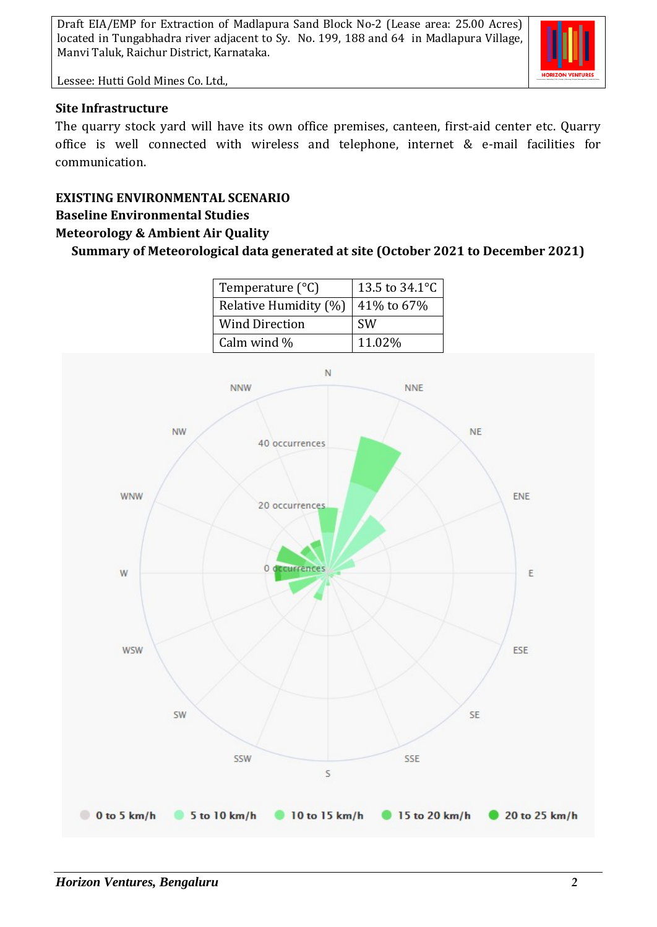

Lessee: Hutti Gold Mines Co. Ltd.,

#### **Site Infrastructure**

The quarry stock yard will have its own office premises, canteen, first-aid center etc. Quarry office is well connected with wireless and telephone, internet & e-mail facilities for communication.

# **EXISTING ENVIRONMENTAL SCENARIO**

# **Baseline Environmental Studies**

### **Meteorology & Ambient Air Quality**

**Summary of Meteorological data generated at site (October 2021 to December 2021)**

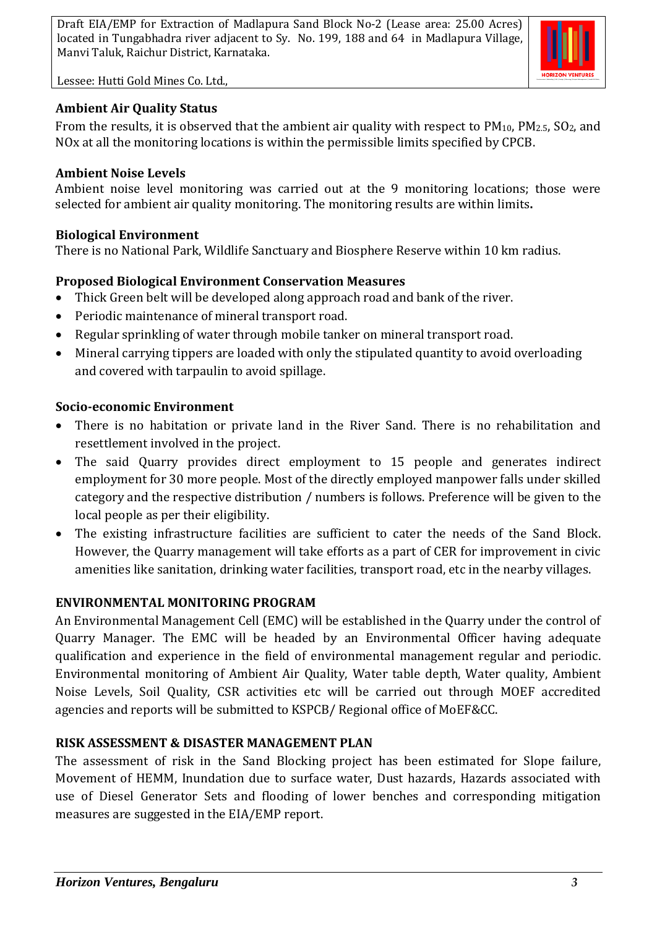



## **Ambient Air Quality Status**

From the results, it is observed that the ambient air quality with respect to  $PM_{10}$ ,  $PM_{2.5}$ ,  $SO_2$ , and NOx at all the monitoring locations is within the permissible limits specified by CPCB.

## **Ambient Noise Levels**

Ambient noise level monitoring was carried out at the 9 monitoring locations; those were selected for ambient air quality monitoring. The monitoring results are within limits**.**

## **Biological Environment**

There is no National Park, Wildlife Sanctuary and Biosphere Reserve within 10 km radius.

# **Proposed Biological Environment Conservation Measures**

- Thick Green belt will be developed along approach road and bank of the river.
- Periodic maintenance of mineral transport road.
- Regular sprinkling of water through mobile tanker on mineral transport road.
- Mineral carrying tippers are loaded with only the stipulated quantity to avoid overloading and covered with tarpaulin to avoid spillage.

## **Socio-economic Environment**

- There is no habitation or private land in the River Sand. There is no rehabilitation and resettlement involved in the project.
- The said Quarry provides direct employment to 15 people and generates indirect employment for 30 more people. Most of the directly employed manpower falls under skilled category and the respective distribution / numbers is follows. Preference will be given to the local people as per their eligibility.
- The existing infrastructure facilities are sufficient to cater the needs of the Sand Block. However, the Quarry management will take efforts as a part of CER for improvement in civic amenities like sanitation, drinking water facilities, transport road, etc in the nearby villages.

# **ENVIRONMENTAL MONITORING PROGRAM**

An Environmental Management Cell (EMC) will be established in the Quarry under the control of Quarry Manager. The EMC will be headed by an Environmental Officer having adequate qualification and experience in the field of environmental management regular and periodic. Environmental monitoring of Ambient Air Quality, Water table depth, Water quality, Ambient Noise Levels, Soil Quality, CSR activities etc will be carried out through MOEF accredited agencies and reports will be submitted to KSPCB/ Regional office of MoEF&CC.

# **RISK ASSESSMENT & DISASTER MANAGEMENT PLAN**

The assessment of risk in the Sand Blocking project has been estimated for Slope failure, Movement of HEMM, Inundation due to surface water, Dust hazards, Hazards associated with use of Diesel Generator Sets and flooding of lower benches and corresponding mitigation measures are suggested in the EIA/EMP report.